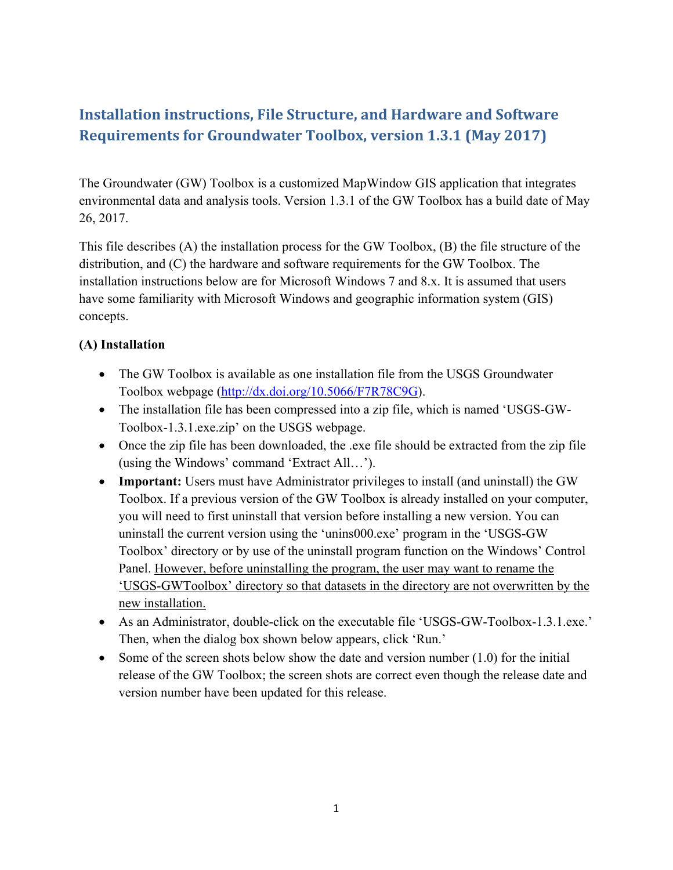## **Installation instructions, File Structure, and Hardware and Software Requirements for Groundwater Toolbox, version 1.3.1 (May 2017)**

The Groundwater (GW) Toolbox is a customized MapWindow GIS application that integrates environmental data and analysis tools. Version 1.3.1 of the GW Toolbox has a build date of May 26, 2017.

This file describes (A) the installation process for the GW Toolbox, (B) the file structure of the distribution, and (C) the hardware and software requirements for the GW Toolbox. The installation instructions below are for Microsoft Windows 7 and 8.x. It is assumed that users have some familiarity with Microsoft Windows and geographic information system (GIS) concepts.

## **(A) Installation**

- The GW Toolbox is available as one installation file from the USGS Groundwater Toolbox webpage (http://dx.doi.org/10.5066/F7R78C9G).
- The installation file has been compressed into a zip file, which is named 'USGS-GW-Toolbox-1.3.1.exe.zip' on the USGS webpage.
- Once the zip file has been downloaded, the .exe file should be extracted from the zip file (using the Windows' command 'Extract All…').
- **Important:** Users must have Administrator privileges to install (and uninstall) the GW Toolbox. If a previous version of the GW Toolbox is already installed on your computer, you will need to first uninstall that version before installing a new version. You can uninstall the current version using the 'unins000.exe' program in the 'USGS-GW Toolbox' directory or by use of the uninstall program function on the Windows' Control Panel. However, before uninstalling the program, the user may want to rename the 'USGS-GWToolbox' directory so that datasets in the directory are not overwritten by the new installation.
- As an Administrator, double-click on the executable file 'USGS-GW-Toolbox-1.3.1.exe.' Then, when the dialog box shown below appears, click 'Run.'
- Some of the screen shots below show the date and version number  $(1.0)$  for the initial release of the GW Toolbox; the screen shots are correct even though the release date and version number have been updated for this release.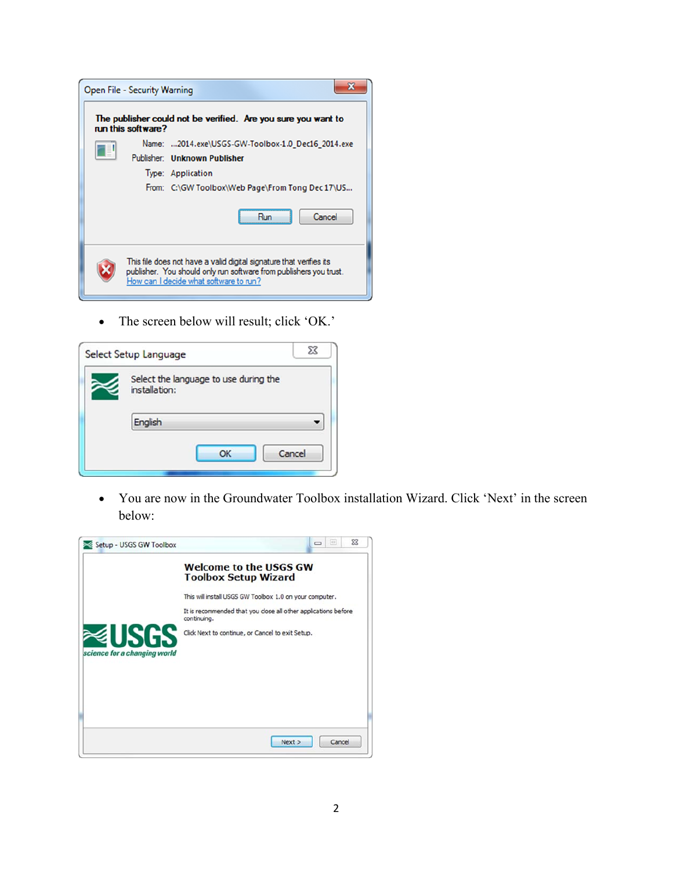

• The screen below will result; click 'OK.'

| Select Setup Language                                  | 53 |
|--------------------------------------------------------|----|
| Select the language to use during the<br>installation: |    |
| English                                                |    |
| Cancel<br>OK                                           |    |

 You are now in the Groundwater Toolbox installation Wizard. Click 'Next' in the screen below:

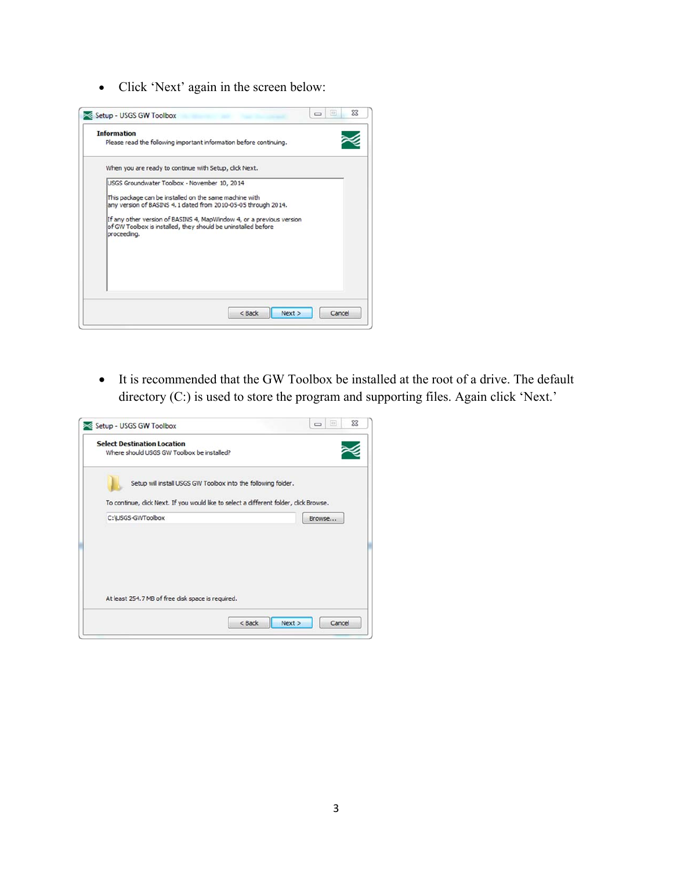Click 'Next' again in the screen below:



 It is recommended that the GW Toolbox be installed at the root of a drive. The default directory (C:) is used to store the program and supporting files. Again click 'Next.'

| <b>Select Destination Location</b>                                                     |                                                               |        |  |
|----------------------------------------------------------------------------------------|---------------------------------------------------------------|--------|--|
| Where should USGS GW Toolbox be installed?                                             |                                                               |        |  |
|                                                                                        | Setup will install USGS GW Toolbox into the following folder. |        |  |
| To continue, click Next. If you would like to select a different folder, click Browse. |                                                               |        |  |
| C:\USGS-GWToolbox                                                                      |                                                               | Browse |  |
|                                                                                        |                                                               |        |  |
|                                                                                        |                                                               |        |  |
|                                                                                        |                                                               |        |  |
|                                                                                        |                                                               |        |  |
| At least 254.7 MB of free disk space is required.                                      |                                                               |        |  |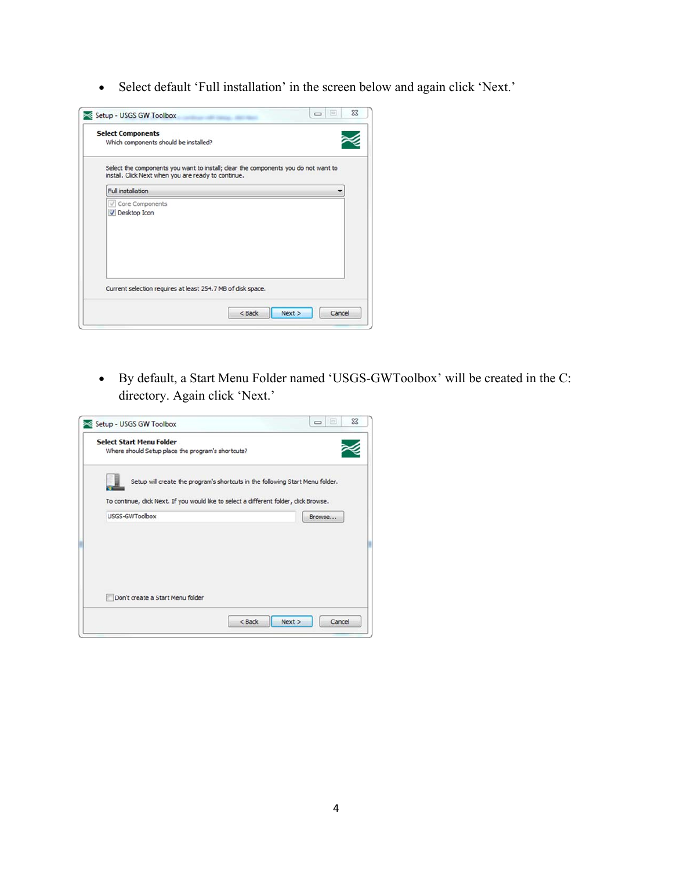Select default 'Full installation' in the screen below and again click 'Next.'

| <b>Select Components</b><br>Which components should be installed? |                                                                                    |
|-------------------------------------------------------------------|------------------------------------------------------------------------------------|
| install. Click Next when you are ready to continue.               | Select the components you want to install; clear the components you do not want to |
| <b>Full installation</b>                                          |                                                                                    |
| √ Core Components<br>V Desktop Icon                               |                                                                                    |
| Current selection requires at least 254.7 MB of disk space.       | Next >                                                                             |

 By default, a Start Menu Folder named 'USGS-GWToolbox' will be created in the C: directory. Again click 'Next.'

| Where should Setup place the program's shortcuts?                                                               |                                                                               |        |
|-----------------------------------------------------------------------------------------------------------------|-------------------------------------------------------------------------------|--------|
|                                                                                                                 | Setup will create the program's shortcuts in the following Start Menu folder. |        |
|                                                                                                                 |                                                                               |        |
| To continue, click Next. If you would like to select a different folder, click Browse.<br><b>USGS-GWToolbox</b> |                                                                               |        |
|                                                                                                                 |                                                                               | Browse |
|                                                                                                                 |                                                                               |        |
|                                                                                                                 |                                                                               |        |
|                                                                                                                 |                                                                               |        |
|                                                                                                                 |                                                                               |        |
| Don't create a Start Menu folder                                                                                |                                                                               |        |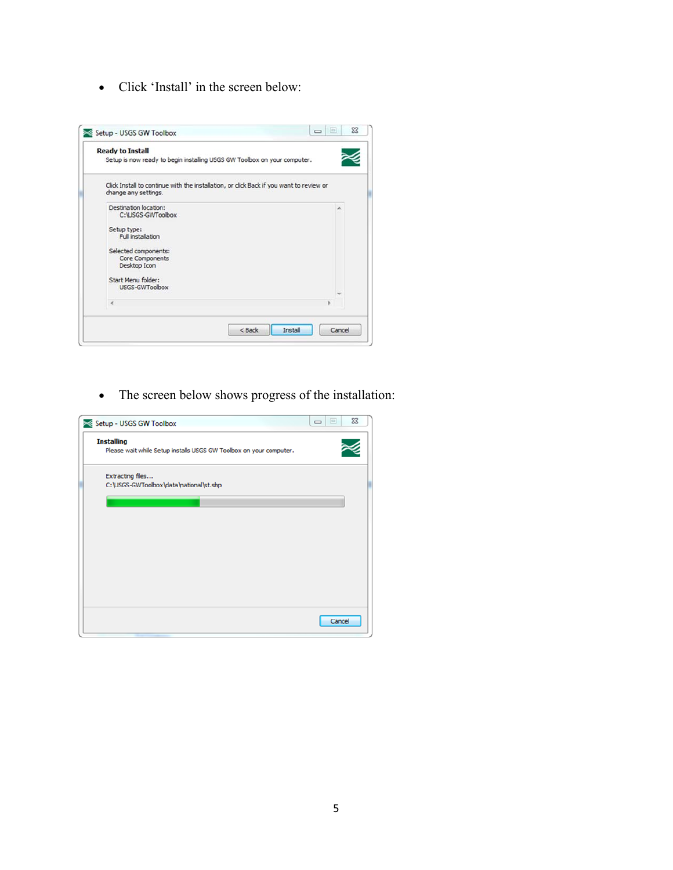• Click 'Install' in the screen below:



The screen below shows progress of the installation:

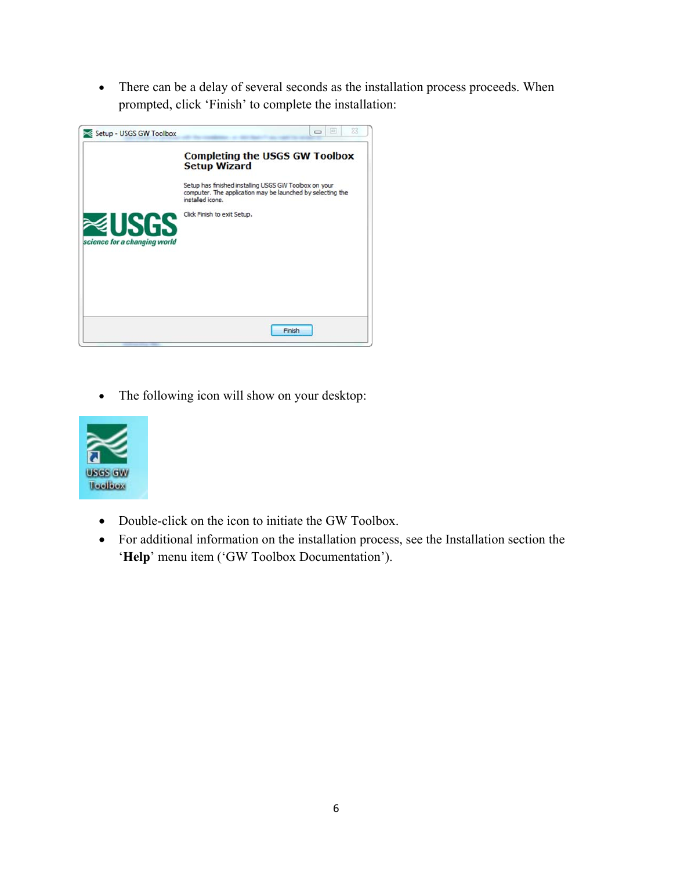There can be a delay of several seconds as the installation process proceeds. When prompted, click 'Finish' to complete the installation:



The following icon will show on your desktop:



- Double-click on the icon to initiate the GW Toolbox.
- For additional information on the installation process, see the Installation section the '**Help**' menu item ('GW Toolbox Documentation').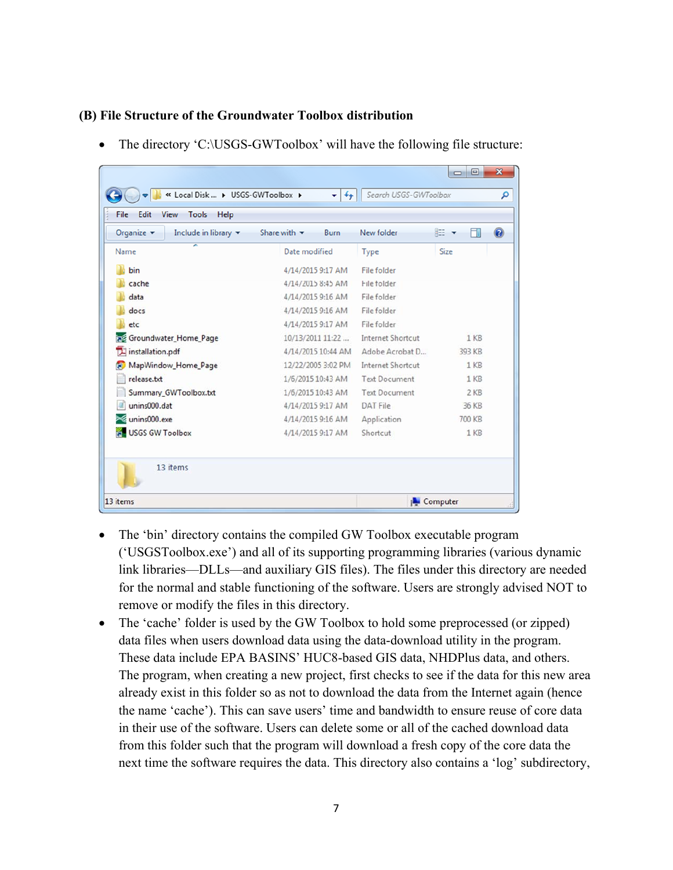## **(B) File Structure of the Groundwater Toolbox distribution**

| Organize $\blacktriangledown$<br>Include in library $\blacktriangledown$ | Share with $\blacktriangledown$<br><b>Burn</b> | New folder               | 0<br>888 ▼<br>FΠ |
|--------------------------------------------------------------------------|------------------------------------------------|--------------------------|------------------|
| ≖<br>Name                                                                | Date modified                                  | Type                     | Size             |
| bin                                                                      | 4/14/2015 9:17 AM                              | <b>File folder</b>       |                  |
| cache                                                                    | 4/14/2015 8:45 AM                              | File folder              |                  |
| data                                                                     | 4/14/2015 9:16 AM                              | File folder              |                  |
| docs                                                                     | 4/14/2015 9:16 AM                              | File folder              |                  |
| etc                                                                      | 4/14/2015 9:17 AM                              | File folder              |                  |
| <b>Red</b> Groundwater_Home_Page                                         | 10/13/2011 11:22                               | <b>Internet Shortcut</b> | $1$ KB           |
| installation.pdf                                                         | 4/14/2015 10:44 AM                             | Adobe Acrobat D          | 393 KB           |
| MapWindow_Home_Page<br><b>R</b>                                          | 12/22/2005 3:02 PM                             | Internet Shortcut        | $1$ KB           |
| release.txt                                                              | 1/6/2015 10:43 AM                              | <b>Text Document</b>     | $1$ KB           |
| Summary_GWToolbox.txt                                                    | 1/6/2015 10:43 AM                              | <b>Text Document</b>     | $2$ KB           |
| unins000.dat                                                             | 4/14/2015 9:17 AM                              | DAT File                 | 36 KB            |
| unins000.exe                                                             | 4/14/2015 9:16 AM                              | Application              | 700 KB           |
| <b>USGS GW Toolbox</b>                                                   | 4/14/2015 9:17 AM                              | Shortcut                 | 1 <sub>KB</sub>  |

• The directory 'C:\USGS-GWToolbox' will have the following file structure:

- The 'bin' directory contains the compiled GW Toolbox executable program ('USGSToolbox.exe') and all of its supporting programming libraries (various dynamic link libraries—DLLs—and auxiliary GIS files). The files under this directory are needed for the normal and stable functioning of the software. Users are strongly advised NOT to remove or modify the files in this directory.
- The 'cache' folder is used by the GW Toolbox to hold some preprocessed (or zipped) data files when users download data using the data-download utility in the program. These data include EPA BASINS' HUC8-based GIS data, NHDPlus data, and others. The program, when creating a new project, first checks to see if the data for this new area already exist in this folder so as not to download the data from the Internet again (hence the name 'cache'). This can save users' time and bandwidth to ensure reuse of core data in their use of the software. Users can delete some or all of the cached download data from this folder such that the program will download a fresh copy of the core data the next time the software requires the data. This directory also contains a 'log' subdirectory,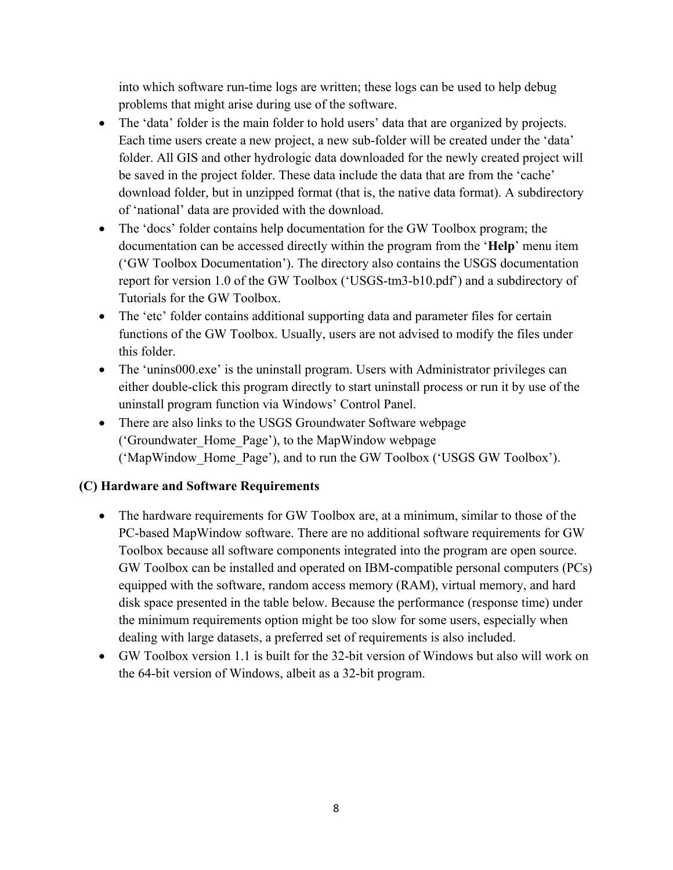into which software run-time logs are written; these logs can be used to help debug problems that might arise during use of the software.

- The 'data' folder is the main folder to hold users' data that are organized by projects. Each time users create a new project, a new sub-folder will be created under the 'data' folder. All GIS and other hydrologic data downloaded for the newly created project will be saved in the project folder. These data include the data that are from the 'cache' download folder, but in unzipped format (that is, the native data format). A subdirectory of 'national' data are provided with the download.
- The 'docs' folder contains help documentation for the GW Toolbox program; the documentation can be accessed directly within the program from the '**Help**' menu item ('GW Toolbox Documentation'). The directory also contains the USGS documentation report for version 1.0 of the GW Toolbox ('USGS-tm3-b10.pdf') and a subdirectory of Tutorials for the GW Toolbox.
- The 'etc' folder contains additional supporting data and parameter files for certain functions of the GW Toolbox. Usually, users are not advised to modify the files under this folder.
- The 'unins000.exe' is the uninstall program. Users with Administrator privileges can either double-click this program directly to start uninstall process or run it by use of the uninstall program function via Windows' Control Panel.
- There are also links to the USGS Groundwater Software webpage ('Groundwater\_Home\_Page'), to the MapWindow webpage ('MapWindow\_Home\_Page'), and to run the GW Toolbox ('USGS GW Toolbox').

## **(C) Hardware and Software Requirements**

- The hardware requirements for GW Toolbox are, at a minimum, similar to those of the PC-based MapWindow software. There are no additional software requirements for GW Toolbox because all software components integrated into the program are open source. GW Toolbox can be installed and operated on IBM-compatible personal computers (PCs) equipped with the software, random access memory (RAM), virtual memory, and hard disk space presented in the table below. Because the performance (response time) under the minimum requirements option might be too slow for some users, especially when dealing with large datasets, a preferred set of requirements is also included.
- GW Toolbox version 1.1 is built for the 32-bit version of Windows but also will work on the 64-bit version of Windows, albeit as a 32-bit program.